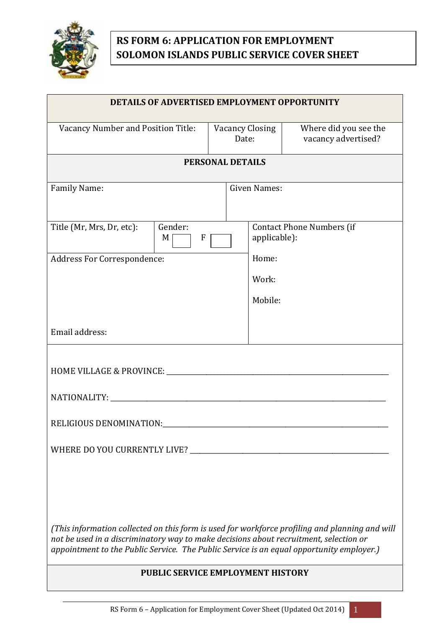

## **RS FORM 6: APPLICATION FOR EMPLOYMENT SOLOMON ISLANDS PUBLIC SERVICE COVER SHEET**

| DETAILS OF ADVERTISED EMPLOYMENT OPPORTUNITY                                                                                                                                                                                                                                        |                                           |                                              |
|-------------------------------------------------------------------------------------------------------------------------------------------------------------------------------------------------------------------------------------------------------------------------------------|-------------------------------------------|----------------------------------------------|
| Vacancy Number and Position Title:                                                                                                                                                                                                                                                  | <b>Vacancy Closing</b><br>Date:           | Where did you see the<br>vacancy advertised? |
| <b>PERSONAL DETAILS</b>                                                                                                                                                                                                                                                             |                                           |                                              |
| Family Name:                                                                                                                                                                                                                                                                        | <b>Given Names:</b>                       |                                              |
| Title (Mr, Mrs, Dr, etc):<br>Gender:<br>M<br>F<br><b>Address For Correspondence:</b>                                                                                                                                                                                                | applicable):<br>Home:<br>Work:<br>Mobile: | Contact Phone Numbers (if                    |
| Email address:                                                                                                                                                                                                                                                                      |                                           |                                              |
|                                                                                                                                                                                                                                                                                     |                                           |                                              |
|                                                                                                                                                                                                                                                                                     |                                           |                                              |
|                                                                                                                                                                                                                                                                                     |                                           |                                              |
|                                                                                                                                                                                                                                                                                     |                                           |                                              |
| (This information collected on this form is used for workforce profiling and planning and will<br>not be used in a discriminatory way to make decisions about recruitment, selection or<br>appointment to the Public Service. The Public Service is an equal opportunity employer.) |                                           |                                              |
| PUBLIC SERVICE EMPLOYMENT HISTORY                                                                                                                                                                                                                                                   |                                           |                                              |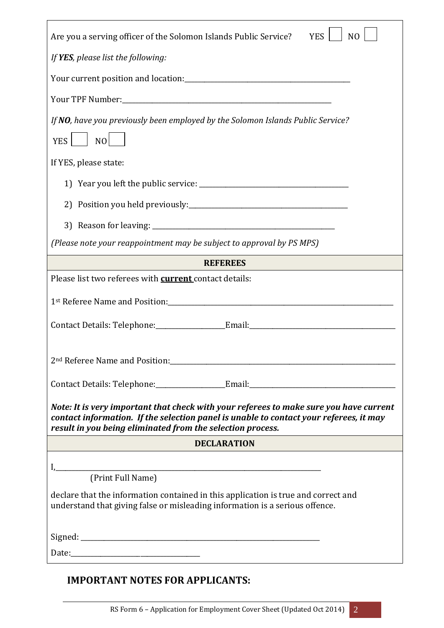| Are you a serving officer of the Solomon Islands Public Service?<br><b>YES</b><br>N <sub>O</sub>                                                                                                                                               |  |  |
|------------------------------------------------------------------------------------------------------------------------------------------------------------------------------------------------------------------------------------------------|--|--|
| If <b>YES</b> , please list the following:                                                                                                                                                                                                     |  |  |
| Your current position and location:<br>                                                                                                                                                                                                        |  |  |
|                                                                                                                                                                                                                                                |  |  |
| If NO, have you previously been employed by the Solomon Islands Public Service?<br><b>YES</b><br>NO                                                                                                                                            |  |  |
| If YES, please state:                                                                                                                                                                                                                          |  |  |
|                                                                                                                                                                                                                                                |  |  |
|                                                                                                                                                                                                                                                |  |  |
|                                                                                                                                                                                                                                                |  |  |
| (Please note your reappointment may be subject to approval by PS MPS)                                                                                                                                                                          |  |  |
| <b>REFEREES</b>                                                                                                                                                                                                                                |  |  |
| Please list two referees with <b>current</b> contact details:                                                                                                                                                                                  |  |  |
|                                                                                                                                                                                                                                                |  |  |
|                                                                                                                                                                                                                                                |  |  |
|                                                                                                                                                                                                                                                |  |  |
|                                                                                                                                                                                                                                                |  |  |
| Note: It is very important that check with your referees to make sure you have current<br>contact information. If the selection panel is unable to contact your referees, it may<br>result in you being eliminated from the selection process. |  |  |
| DECLARATION                                                                                                                                                                                                                                    |  |  |
|                                                                                                                                                                                                                                                |  |  |
| I, [Print Full Name]                                                                                                                                                                                                                           |  |  |
| declare that the information contained in this application is true and correct and<br>understand that giving false or misleading information is a serious offence.                                                                             |  |  |
|                                                                                                                                                                                                                                                |  |  |
|                                                                                                                                                                                                                                                |  |  |

## **IMPORTANT NOTES FOR APPLICANTS:**